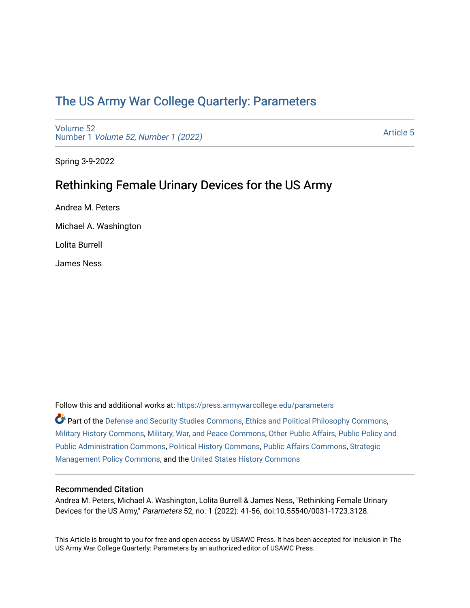# [The US Army War College Quarterly: Parameters](https://press.armywarcollege.edu/parameters)

[Volume 52](https://press.armywarcollege.edu/parameters/vol52) Number 1 [Volume 52, Number 1 \(2022\)](https://press.armywarcollege.edu/parameters/vol52/iss1)

[Article 5](https://press.armywarcollege.edu/parameters/vol52/iss1/5) 

Spring 3-9-2022

# Rethinking Female Urinary Devices for the US Army

Andrea M. Peters Michael A. Washington Lolita Burrell James Ness

Follow this and additional works at: [https://press.armywarcollege.edu/parameters](https://press.armywarcollege.edu/parameters?utm_source=press.armywarcollege.edu%2Fparameters%2Fvol52%2Fiss1%2F5&utm_medium=PDF&utm_campaign=PDFCoverPages) 

Part of the [Defense and Security Studies Commons](http://network.bepress.com/hgg/discipline/394?utm_source=press.armywarcollege.edu%2Fparameters%2Fvol52%2Fiss1%2F5&utm_medium=PDF&utm_campaign=PDFCoverPages), [Ethics and Political Philosophy Commons](http://network.bepress.com/hgg/discipline/529?utm_source=press.armywarcollege.edu%2Fparameters%2Fvol52%2Fiss1%2F5&utm_medium=PDF&utm_campaign=PDFCoverPages), [Military History Commons,](http://network.bepress.com/hgg/discipline/504?utm_source=press.armywarcollege.edu%2Fparameters%2Fvol52%2Fiss1%2F5&utm_medium=PDF&utm_campaign=PDFCoverPages) [Military, War, and Peace Commons,](http://network.bepress.com/hgg/discipline/861?utm_source=press.armywarcollege.edu%2Fparameters%2Fvol52%2Fiss1%2F5&utm_medium=PDF&utm_campaign=PDFCoverPages) [Other Public Affairs, Public Policy and](http://network.bepress.com/hgg/discipline/403?utm_source=press.armywarcollege.edu%2Fparameters%2Fvol52%2Fiss1%2F5&utm_medium=PDF&utm_campaign=PDFCoverPages)  [Public Administration Commons,](http://network.bepress.com/hgg/discipline/403?utm_source=press.armywarcollege.edu%2Fparameters%2Fvol52%2Fiss1%2F5&utm_medium=PDF&utm_campaign=PDFCoverPages) [Political History Commons,](http://network.bepress.com/hgg/discipline/505?utm_source=press.armywarcollege.edu%2Fparameters%2Fvol52%2Fiss1%2F5&utm_medium=PDF&utm_campaign=PDFCoverPages) [Public Affairs Commons,](http://network.bepress.com/hgg/discipline/399?utm_source=press.armywarcollege.edu%2Fparameters%2Fvol52%2Fiss1%2F5&utm_medium=PDF&utm_campaign=PDFCoverPages) [Strategic](http://network.bepress.com/hgg/discipline/642?utm_source=press.armywarcollege.edu%2Fparameters%2Fvol52%2Fiss1%2F5&utm_medium=PDF&utm_campaign=PDFCoverPages)  [Management Policy Commons,](http://network.bepress.com/hgg/discipline/642?utm_source=press.armywarcollege.edu%2Fparameters%2Fvol52%2Fiss1%2F5&utm_medium=PDF&utm_campaign=PDFCoverPages) and the [United States History Commons](http://network.bepress.com/hgg/discipline/495?utm_source=press.armywarcollege.edu%2Fparameters%2Fvol52%2Fiss1%2F5&utm_medium=PDF&utm_campaign=PDFCoverPages)

## Recommended Citation

Andrea M. Peters, Michael A. Washington, Lolita Burrell & James Ness, "Rethinking Female Urinary Devices for the US Army," Parameters 52, no. 1 (2022): 41-56, doi:10.55540/0031-1723.3128.

This Article is brought to you for free and open access by USAWC Press. It has been accepted for inclusion in The US Army War College Quarterly: Parameters by an authorized editor of USAWC Press.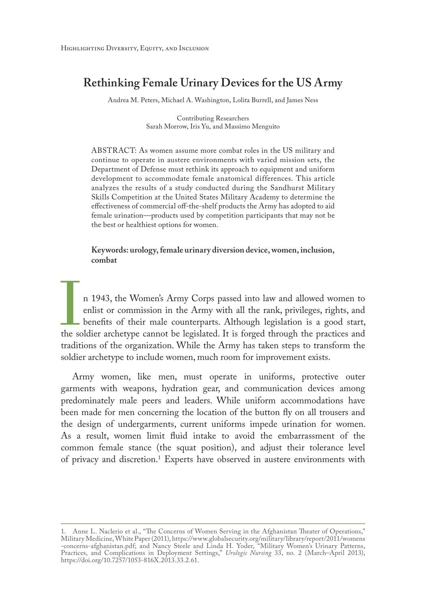## **Rethinking Female Urinary Devices for the US Army**

Andrea M. Peters, Michael A. Washington, Lolita Burrell, and James Ness

Contributing Researchers Sarah Morrow, Iris Yu, and Massimo Menguito

ABSTRACT: As women assume more combat roles in the US military and continue to operate in austere environments with varied mission sets, the Department of Defense must rethink its approach to equipment and uniform development to accommodate female anatomical differences. This article analyzes the results of a study conducted during the Sandhurst Military Skills Competition at the United States Military Academy to determine the effectiveness of commercial off-the-shelf products the Army has adopted to aid female urination—products used by competition participants that may not be the best or healthiest options for women.

**Keywords: urology, female urinary diversion device, women, inclusion, combat**

n 1943, the Women's Army Corps passed into law and allowed women to enlist or commission in the Army with all the rank, privileges, rights, and benefits of their male counterparts. Although legislation is a good start, the enlist or commission in the Army with all the rank, privileges, rights, and benefits of their male counterparts. Although legislation is a good start, the soldier archetype cannot be legislated. It is forged through the practices and traditions of the organization. While the Army has taken steps to transform the soldier archetype to include women, much room for improvement exists.

Army women, like men, must operate in uniforms, protective outer garments with weapons, hydration gear, and communication devices among predominately male peers and leaders. While uniform accommodations have been made for men concerning the location of the button fly on all trousers and the design of undergarments, current uniforms impede urination for women. As a result, women limit fluid intake to avoid the embarrassment of the common female stance (the squat position), and adjust their tolerance level of privacy and discretion.1 Experts have observed in austere environments with

<sup>1.</sup> Anne L. Naclerio et al., "The Concerns of Women Serving in the Afghanistan Theater of Operations," Military Medicine, White Paper (2011), [https://www.globalsecurity.org/military/library/report/2011/womens](https://www.globalsecurity.org/military/library/report/2011/womens-concerns) [-concerns](https://www.globalsecurity.org/military/library/report/2011/womens-concerns)-afghanistan.pdf; and Nancy Steele and Linda H. Yoder, "Military Women's Urinary Patterns, Practices, and Complications in Deployment Settings," *Urologic Nursing* 33, no. 2 (March–April 2013), [https://doi.org/10.7257/1053-816X.2013.33.2.61.](https://doi.org/10.7257/1053-816X.2013.33.2.61)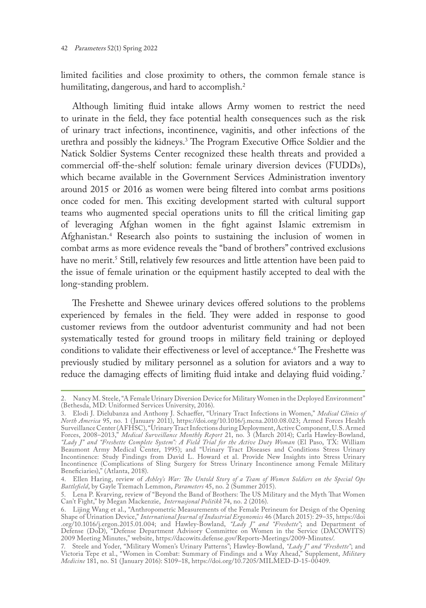limited facilities and close proximity to others, the common female stance is humilitating, dangerous, and hard to accomplish.<sup>2</sup>

Although limiting fluid intake allows Army women to restrict the need to urinate in the field, they face potential health consequences such as the risk of urinary tract infections, incontinence, vaginitis, and other infections of the urethra and possibly the kidneys.3 The Program Executive Office Soldier and the Natick Soldier Systems Center recognized these health threats and provided a commercial off-the-shelf solution: female urinary diversion devices (FUDDs), which became available in the Government Services Administration inventory around 2015 or 2016 as women were being filtered into combat arms positions once coded for men. This exciting development started with cultural support teams who augmented special operations units to fill the critical limiting gap of leveraging Afghan women in the fight against Islamic extremism in Afghanistan.4 Research also points to sustaining the inclusion of women in combat arms as more evidence reveals the "band of brothers" contrived exclusions have no merit.<sup>5</sup> Still, relatively few resources and little attention have been paid to the issue of female urination or the equipment hastily accepted to deal with the long-standing problem.

The Freshette and Shewee urinary devices offered solutions to the problems experienced by females in the field. They were added in response to good customer reviews from the outdoor adventurist community and had not been systematically tested for ground troops in military field training or deployed conditions to validate their effectiveness or level of acceptance.6 The Freshette was previously studied by military personnel as a solution for aviators and a way to reduce the damaging effects of limiting fluid intake and delaying fluid voiding.<sup>7</sup>

<sup>2.</sup> Nancy M. Steele, "A Female Urinary Diversion Device for Military Women in the Deployed Environment" (Bethesda, MD: Uniformed Services University, 2016).

<sup>3.</sup> Elodi J. Dielubanza and Anthony J. Schaeffer, "Urinary Tract Infections in Women," *Medical Clinics of North America* 95, no. 1 (January 2011), <https://doi.org/10.1016/j.mcna.2010.08.023>; Armed Forces Health Surveillance Center (AFHSC), "Urinary Tract Infections during Deployment, Active Component, U.S. Armed Forces, 2008–2013," *Medical Surveillance Monthly Report* 21, no. 3 (March 2014); Carla Hawley-Bowland, *"Lady J" and "Freshette Complete System": A Field Trial for the Active Duty Woman* (El Paso, TX: William Beaumont Army Medical Center, 1995); and "Urinary Tract Diseases and Conditions Stress Urinary Incontinence: Study Findings from David L. Howard et al. Provide New Insights into Stress Urinary Incontinence (Complications of Sling Surgery for Stress Urinary Incontinence among Female Military Beneficiaries)," (Atlanta, 2018).

<sup>4.</sup> Ellen Haring, review of *Ashley's War: The Untold Story of a Team of Women Soldiers on the Special Ops Battlefield*, by Gayle Tzemach Lemmon, *Parameters* 45, no. 2 (Summer 2015).

<sup>5.</sup> Lena P. Kvarving, review of "Beyond the Band of Brothers: The US Military and the Myth That Women Can't Fight," by Megan Mackenzie, *Internasjonal Politikk* 74, no. 2 (2016).

<sup>6.</sup> Lijing Wang et al., "Anthropometric Measurements of the Female Perineum for Design of the Opening Shape of Urination Device," *International Journal of Industrial Ergonomics* 46 (March 2015): 29–35, https://doi .org/10.1016/j.ergon.2015.01.004; and Hawley-Bowland, *"Lady J" and "Freshette"*; and Department of Defense (DoD), "Defense Department Advisory Committee on Women in the Service (DACOWITS) 2009 Meeting Minutes," website,<https://dacowits.defense.gov/Reports-Meetings/2009-Minutes/>.

<sup>7.</sup> Steele and Yoder, "Military Women's Urinary Patterns"; Hawley-Bowland, *"Lady J" and "Freshette"*; and Victoria Tepe et al., "Women in Combat: Summary of Findings and a Way Ahead," Supplement, *Military Medicine* 181, no. S1 (January 2016): S109–18, [https://doi.org/10.7205/MILMED-D-15-00409.](https://doi.org/10.7205/MILMED-D-15-00409)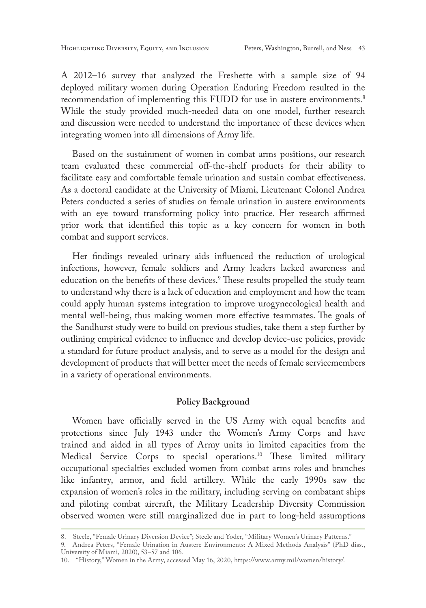A 2012–16 survey that analyzed the Freshette with a sample size of 94 deployed military women during Operation Enduring Freedom resulted in the recommendation of implementing this FUDD for use in austere environments.<sup>8</sup> While the study provided much-needed data on one model, further research and discussion were needed to understand the importance of these devices when integrating women into all dimensions of Army life.

Based on the sustainment of women in combat arms positions, our research team evaluated these commercial off-the-shelf products for their ability to facilitate easy and comfortable female urination and sustain combat effectiveness. As a doctoral candidate at the University of Miami, Lieutenant Colonel Andrea Peters conducted a series of studies on female urination in austere environments with an eye toward transforming policy into practice. Her research affirmed prior work that identified this topic as a key concern for women in both combat and support services.

Her findings revealed urinary aids influenced the reduction of urological infections, however, female soldiers and Army leaders lacked awareness and education on the benefits of these devices.9 These results propelled the study team to understand why there is a lack of education and employment and how the team could apply human systems integration to improve urogynecological health and mental well-being, thus making women more effective teammates. The goals of the Sandhurst study were to build on previous studies, take them a step further by outlining empirical evidence to influence and develop device-use policies, provide a standard for future product analysis, and to serve as a model for the design and development of products that will better meet the needs of female servicemembers in a variety of operational environments.

## **Policy Background**

Women have officially served in the US Army with equal benefits and protections since July 1943 under the Women's Army Corps and have trained and aided in all types of Army units in limited capacities from the Medical Service Corps to special operations.10 These limited military occupational specialties excluded women from combat arms roles and branches like infantry, armor, and field artillery. While the early 1990s saw the expansion of women's roles in the military, including serving on combatant ships and piloting combat aircraft, the Military Leadership Diversity Commission observed women were still marginalized due in part to long-held assumptions

<sup>8.</sup> Steele, "Female Urinary Diversion Device"; Steele and Yoder, "Military Women's Urinary Patterns."

<sup>9.</sup> Andrea Peters, "Female Urination in Austere Environments: A Mixed Methods Analysis" (PhD diss., University of Miami, 2020), 53–57 and 106.

<sup>10.</sup> "History," Women in the Army, accessed May 16, 2020,<https://www.army.mil/women/history/>.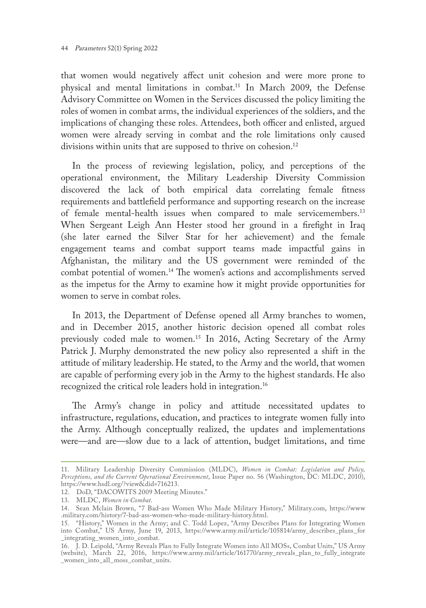that women would negatively affect unit cohesion and were more prone to physical and mental limitations in combat.11 In March 2009, the Defense Advisory Committee on Women in the Services discussed the policy limiting the roles of women in combat arms, the individual experiences of the soldiers, and the implications of changing these roles. Attendees, both officer and enlisted, argued women were already serving in combat and the role limitations only caused divisions within units that are supposed to thrive on cohesion.<sup>12</sup>

In the process of reviewing legislation, policy, and perceptions of the operational environment, the Military Leadership Diversity Commission discovered the lack of both empirical data correlating female fitness requirements and battlefield performance and supporting research on the increase of female mental-health issues when compared to male servicemembers.13 When Sergeant Leigh Ann Hester stood her ground in a firefight in Iraq (she later earned the Silver Star for her achievement) and the female engagement teams and combat support teams made impactful gains in Afghanistan, the military and the US government were reminded of the combat potential of women.14 The women's actions and accomplishments served as the impetus for the Army to examine how it might provide opportunities for women to serve in combat roles.

In 2013, the Department of Defense opened all Army branches to women, and in December 2015, another historic decision opened all combat roles previously coded male to women.15 In 2016, Acting Secretary of the Army Patrick J. Murphy demonstrated the new policy also represented a shift in the attitude of military leadership. He stated, to the Army and the world, that women are capable of performing every job in the Army to the highest standards. He also recognized the critical role leaders hold in integration.16

The Army's change in policy and attitude necessitated updates to infrastructure, regulations, education, and practices to integrate women fully into the Army. Although conceptually realized, the updates and implementations were—and are—slow due to a lack of attention, budget limitations, and time

<sup>11.</sup> Military Leadership Diversity Commission (MLDC), *Women in Combat: Legislation and Policy, Perceptions, and the Current Operational Environment*, Issue Paper no. 56 (Washington, DC: MLDC, 2010), <https://www.hsdl.org/?view&did=716213>.

<sup>12.</sup> DoD, "DACOWITS 2009 Meeting Minutes."

<sup>13.</sup> MLDC, *Women in Combat*.

<sup>14.</sup> Sean Mclain Brown, "7 Bad-ass Women Who Made Military History," [Military.com,](http://Military.com) https://www [.military.com/history/7-bad-ass-women-who-made-military-history.html](http://military.com/history/7-bad-ass-women-who-made-military-history.html).

<sup>15.</sup> "History," Women in the Army; and C. Todd Lopez, "Army Describes Plans for Integrating Women into Combat," US Army, June 19, 2013, [https://www.army.mil/article/105814/army\\_describes\\_plans\\_for](https://www.army.mil/article/105814/army_describes_plans_for) \_integrating\_women\_into\_combat.

<sup>16.</sup> J. D. Leipold, "Army Reveals Plan to Fully Integrate Women into All MOSs, Combat Units," US Army (website), March 22, 2016, [https://www.army.mil/article/161770/army\\_reveals\\_plan\\_to\\_fully\\_integrate](https://www.army.mil/article/161770/army_reveals_plan_to_fully_integrate_women_into) [\\_women\\_into\\_](https://www.army.mil/article/161770/army_reveals_plan_to_fully_integrate_women_into)all\_moss\_combat\_units.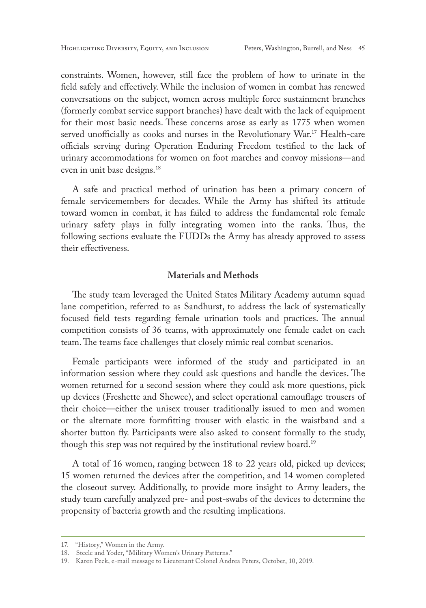constraints. Women, however, still face the problem of how to urinate in the field safely and effectively. While the inclusion of women in combat has renewed conversations on the subject, women across multiple force sustainment branches (formerly combat service support branches) have dealt with the lack of equipment for their most basic needs. These concerns arose as early as 1775 when women served unofficially as cooks and nurses in the Revolutionary War.17 Health-care officials serving during Operation Enduring Freedom testified to the lack of urinary accommodations for women on foot marches and convoy missions—and even in unit base designs.18

A safe and practical method of urination has been a primary concern of female servicemembers for decades. While the Army has shifted its attitude toward women in combat, it has failed to address the fundamental role female urinary safety plays in fully integrating women into the ranks. Thus, the following sections evaluate the FUDDs the Army has already approved to assess their effectiveness.

## **Materials and Methods**

The study team leveraged the United States Military Academy autumn squad lane competition, referred to as Sandhurst, to address the lack of systematically focused field tests regarding female urination tools and practices. The annual competition consists of 36 teams, with approximately one female cadet on each team. The teams face challenges that closely mimic real combat scenarios.

Female participants were informed of the study and participated in an information session where they could ask questions and handle the devices. The women returned for a second session where they could ask more questions, pick up devices (Freshette and Shewee), and select operational camouflage trousers of their choice—either the unisex trouser traditionally issued to men and women or the alternate more formfitting trouser with elastic in the waistband and a shorter button fly. Participants were also asked to consent formally to the study, though this step was not required by the institutional review board.<sup>19</sup>

A total of 16 women, ranging between 18 to 22 years old, picked up devices; 15 women returned the devices after the competition, and 14 women completed the closeout survey. Additionally, to provide more insight to Army leaders, the study team carefully analyzed pre- and post-swabs of the devices to determine the propensity of bacteria growth and the resulting implications.

<sup>17.</sup> "History," Women in the Army.

<sup>18.</sup> Steele and Yoder, "Military Women's Urinary Patterns."

<sup>19.</sup> Karen Peck, e-mail message to Lieutenant Colonel Andrea Peters, October, 10, 2019.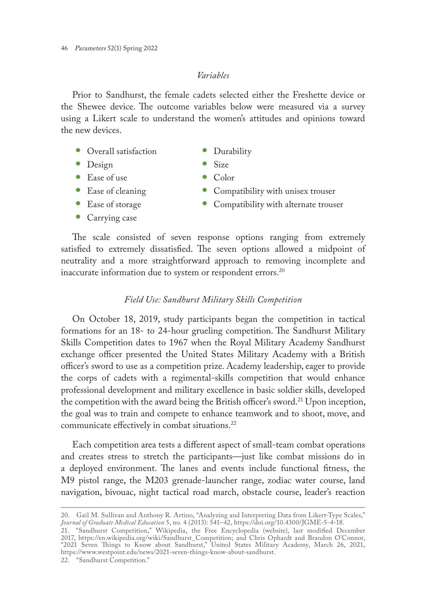## *Variables*

Prior to Sandhurst, the female cadets selected either the Freshette device or the Shewee device. The outcome variables below were measured via a survey using a Likert scale to understand the women's attitudes and opinions toward the new devices.

- Overall satisfaction **•** Durability<br>• Design **•** Size
- 
- **•** Design **•** Size
- Ease of use<br>• Ease of cleaning
- 
- **•** Carrying case
- 
- 
- 
- Ease of cleaning **•** Compatibility with unisex trouser<br>• Ease of storage Compatibility with alternate trous
	- Compatibility with alternate trouser

The scale consisted of seven response options ranging from extremely satisfied to extremely dissatisfied. The seven options allowed a midpoint of neutrality and a more straightforward approach to removing incomplete and inaccurate information due to system or respondent errors.<sup>20</sup>

### *Field Use: Sandhurst Military Skills Competition*

On October 18, 2019, study participants began the competition in tactical formations for an 18- to 24-hour grueling competition. The Sandhurst Military Skills Competition dates to 1967 when the Royal Military Academy Sandhurst exchange officer presented the United States Military Academy with a British officer's sword to use as a competition prize. Academy leadership, eager to provide the corps of cadets with a regimental-skills competition that would enhance professional development and military excellence in basic soldier skills, developed the competition with the award being the British officer's sword.<sup>21</sup> Upon inception, the goal was to train and compete to enhance teamwork and to shoot, move, and communicate effectively in combat situations.<sup>22</sup>

Each competition area tests a different aspect of small-team combat operations and creates stress to stretch the participants—just like combat missions do in a deployed environment. The lanes and events include functional fitness, the M9 pistol range, the M203 grenade-launcher range, zodiac water course, land navigation, bivouac, night tactical road march, obstacle course, leader's reaction

<sup>20.</sup> Gail M. Sullivan and Anthony R. Artino, "Analyzing and Interpreting Data from Likert-Type Scales," *Journal of Graduate Medical Education* 5, no. 4 (2013): 541–42, <https://doi.org/10.4300/JGME-5-4-18>.

<sup>21.</sup> "Sandhurst Competition," Wikipedia, the Free Encyclopedia (website), last modified December 2017, [https://en.wikipedia.org/wiki/Sandhurst\\_Competition](https://en.wikipedia.org/wiki/Sandhurst_Competition); and Chris Ophardt and Brandon O'Connor, "2021 Seven Things to Know about Sandhurst," United States Military Academy, March 26, 2021, [https://www.westpoint.](https://www.westpoint)edu/news/2021-seven-things-know-about-sandhurst.

<sup>22.</sup> "Sandhurst Competition."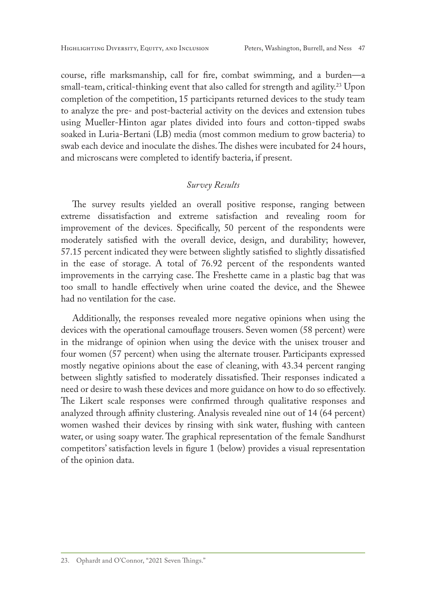course, rifle marksmanship, call for fire, combat swimming, and a burden—a small-team, critical-thinking event that also called for strength and agility.<sup>23</sup> Upon completion of the competition, 15 participants returned devices to the study team to analyze the pre- and post-bacterial activity on the devices and extension tubes using Mueller-Hinton agar plates divided into fours and cotton-tipped swabs soaked in Luria-Bertani (LB) media (most common medium to grow bacteria) to swab each device and inoculate the dishes. The dishes were incubated for 24 hours, and microscans were completed to identify bacteria, if present.

## *Survey Results*

The survey results yielded an overall positive response, ranging between extreme dissatisfaction and extreme satisfaction and revealing room for improvement of the devices. Specifically, 50 percent of the respondents were moderately satisfied with the overall device, design, and durability; however, 57.15 percent indicated they were between slightly satisfied to slightly dissatisfied in the ease of storage. A total of 76.92 percent of the respondents wanted improvements in the carrying case. The Freshette came in a plastic bag that was too small to handle effectively when urine coated the device, and the Shewee had no ventilation for the case.

Additionally, the responses revealed more negative opinions when using the devices with the operational camouflage trousers. Seven women (58 percent) were in the midrange of opinion when using the device with the unisex trouser and four women (57 percent) when using the alternate trouser. Participants expressed mostly negative opinions about the ease of cleaning, with 43.34 percent ranging between slightly satisfied to moderately dissatisfied. Their responses indicated a need or desire to wash these devices and more guidance on how to do so effectively. The Likert scale responses were confirmed through qualitative responses and analyzed through affinity clustering. Analysis revealed nine out of 14 (64 percent) women washed their devices by rinsing with sink water, flushing with canteen water, or using soapy water. The graphical representation of the female Sandhurst competitors' satisfaction levels in figure 1 (below) provides a visual representation of the opinion data.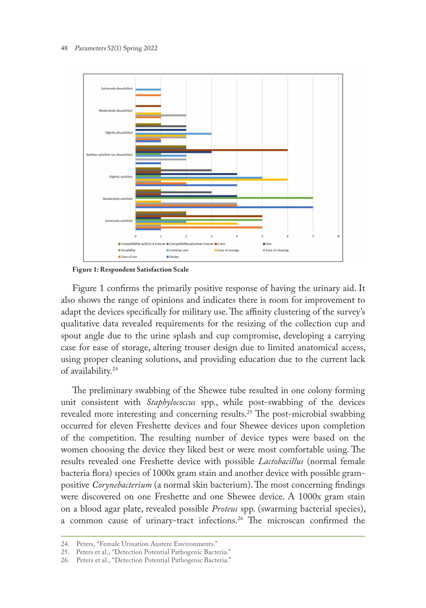

**Figure 1: Respondent Satisfaction Scale**

Figure 1 confirms the primarily positive response of having the urinary aid. It also shows the range of opinions and indicates there is room for improvement to adapt the devices specifically for military use. The affinity clustering of the survey's qualitative data revealed requirements for the resizing of the collection cup and spout angle due to the urine splash and cup compromise, developing a carrying case for ease of storage, altering trouser design due to limited anatomical access, using proper cleaning solutions, and providing education due to the current lack of availability.24

The preliminary swabbing of the Shewee tube resulted in one colony forming unit consistent with *Staphylococcus* spp., while post-swabbing of the devices revealed more interesting and concerning results.25 The post-microbial swabbing occurred for eleven Freshette devices and four Shewee devices upon completion of the competition. The resulting number of device types were based on the women choosing the device they liked best or were most comfortable using. The results revealed one Freshette device with possible *Lactobacillus* (normal female bacteria flora) species of 1000x gram stain and another device with possible grampositive *Corynebacterium* (a normal skin bacterium). The most concerning findings were discovered on one Freshette and one Shewee device. A 1000x gram stain on a blood agar plate, revealed possible *Proteus* spp. (swarming bacterial species), a common cause of urinary-tract infections.26 The microscan confirmed the

<sup>24.</sup> Peters, "Female Urination Austere Environments."

<sup>25.</sup> Peters et al., "Detection Potential Pathogenic Bacteria."

<sup>26.</sup> Peters et al., "Detection Potential Pathogenic Bacteria."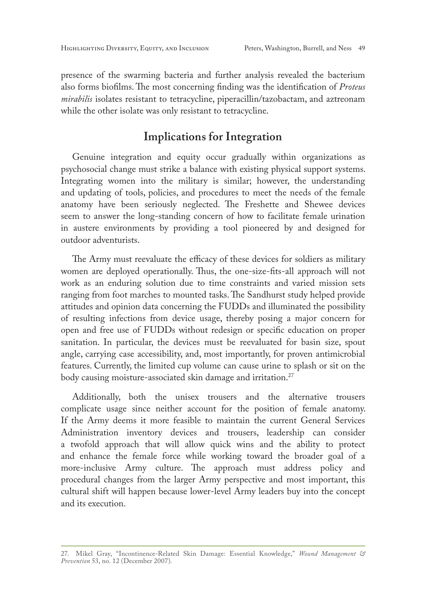presence of the swarming bacteria and further analysis revealed the bacterium also forms biofilms. The most concerning finding was the identification of *Proteus mirabilis* isolates resistant to tetracycline, piperacillin/tazobactam, and aztreonam while the other isolate was only resistant to tetracycline.

## **Implications for Integration**

Genuine integration and equity occur gradually within organizations as psychosocial change must strike a balance with existing physical support systems. Integrating women into the military is similar; however, the understanding and updating of tools, policies, and procedures to meet the needs of the female anatomy have been seriously neglected. The Freshette and Shewee devices seem to answer the long-standing concern of how to facilitate female urination in austere environments by providing a tool pioneered by and designed for outdoor adventurists.

The Army must reevaluate the efficacy of these devices for soldiers as military women are deployed operationally. Thus, the one-size-fits-all approach will not work as an enduring solution due to time constraints and varied mission sets ranging from foot marches to mounted tasks. The Sandhurst study helped provide attitudes and opinion data concerning the FUDDs and illuminated the possibility of resulting infections from device usage, thereby posing a major concern for open and free use of FUDDs without redesign or specific education on proper sanitation. In particular, the devices must be reevaluated for basin size, spout angle, carrying case accessibility, and, most importantly, for proven antimicrobial features. Currently, the limited cup volume can cause urine to splash or sit on the body causing moisture-associated skin damage and irritation.<sup>27</sup>

Additionally, both the unisex trousers and the alternative trousers complicate usage since neither account for the position of female anatomy. If the Army deems it more feasible to maintain the current General Services Administration inventory devices and trousers, leadership can consider a twofold approach that will allow quick wins and the ability to protect and enhance the female force while working toward the broader goal of a more-inclusive Army culture. The approach must address policy and procedural changes from the larger Army perspective and most important, this cultural shift will happen because lower-level Army leaders buy into the concept and its execution.

<sup>27.</sup> Mikel Gray, "Incontinence-Related Skin Damage: Essential Knowledge," *Wound Management & Prevention* 53, no. 12 (December 2007).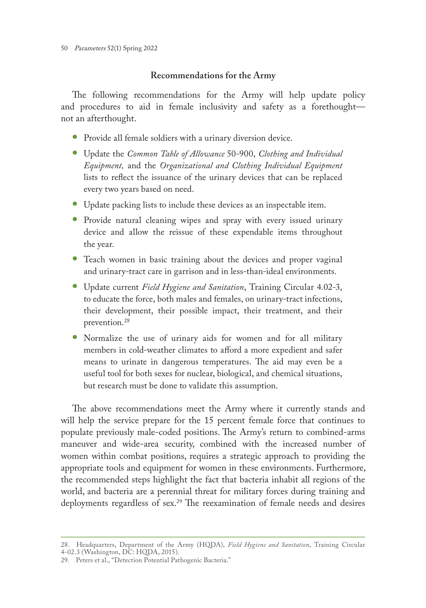## **Recommendations for the Army**

The following recommendations for the Army will help update policy and procedures to aid in female inclusivity and safety as a forethought not an afterthought.

- **•** Provide all female soldiers with a urinary diversion device.
- **•** Update the *Common Table of Allowance* 50-900, *Clothing and Individual Equipment,* and the *Organizational and Clothing Individual Equipment* lists to reflect the issuance of the urinary devices that can be replaced every two years based on need.
- **•** Update packing lists to include these devices as an inspectable item.
- **•** Provide natural cleaning wipes and spray with every issued urinary device and allow the reissue of these expendable items throughout the year.
- **•** Teach women in basic training about the devices and proper vaginal and urinary-tract care in garrison and in less-than-ideal environments.
- **•** Update current *Field Hygiene and Sanitation*, Training Circular 4.02-3, to educate the force, both males and females, on urinary-tract infections, their development, their possible impact, their treatment, and their prevention.<sup>28</sup>
- **•** Normalize the use of urinary aids for women and for all military members in cold-weather climates to afford a more expedient and safer means to urinate in dangerous temperatures. The aid may even be a useful tool for both sexes for nuclear, biological, and chemical situations, but research must be done to validate this assumption.

The above recommendations meet the Army where it currently stands and will help the service prepare for the 15 percent female force that continues to populate previously male-coded positions. The Army's return to combined-arms maneuver and wide-area security, combined with the increased number of women within combat positions, requires a strategic approach to providing the appropriate tools and equipment for women in these environments. Furthermore, the recommended steps highlight the fact that bacteria inhabit all regions of the world, and bacteria are a perennial threat for military forces during training and deployments regardless of sex.<sup>29</sup> The reexamination of female needs and desires

<sup>28.</sup> Headquarters, Department of the Army (HQDA), *Field Hygiene and Sanitation*, Training Circular 4-02.3 (Washington, DC: HQDA, 2015).

<sup>29.</sup> Peters et al., "Detection Potential Pathogenic Bacteria."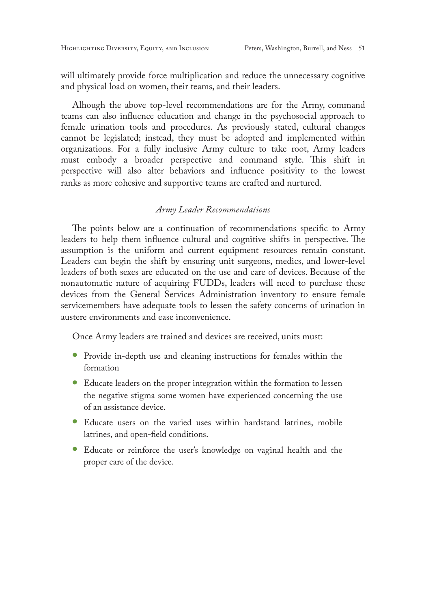will ultimately provide force multiplication and reduce the unnecessary cognitive and physical load on women, their teams, and their leaders.

Alhough the above top-level recommendations are for the Army, command teams can also influence education and change in the psychosocial approach to female urination tools and procedures. As previously stated, cultural changes cannot be legislated; instead, they must be adopted and implemented within organizations. For a fully inclusive Army culture to take root, Army leaders must embody a broader perspective and command style. This shift in perspective will also alter behaviors and influence positivity to the lowest ranks as more cohesive and supportive teams are crafted and nurtured.

## *Army Leader Recommendations*

The points below are a continuation of recommendations specific to Army leaders to help them influence cultural and cognitive shifts in perspective. The assumption is the uniform and current equipment resources remain constant. Leaders can begin the shift by ensuring unit surgeons, medics, and lower-level leaders of both sexes are educated on the use and care of devices. Because of the nonautomatic nature of acquiring FUDDs, leaders will need to purchase these devices from the General Services Administration inventory to ensure female servicemembers have adequate tools to lessen the safety concerns of urination in austere environments and ease inconvenience.

Once Army leaders are trained and devices are received, units must:

- **•** Provide in-depth use and cleaning instructions for females within the formation
- **•** Educate leaders on the proper integration within the formation to lessen the negative stigma some women have experienced concerning the use of an assistance device.
- **•** Educate users on the varied uses within hardstand latrines, mobile latrines, and open-field conditions.
- **•** Educate or reinforce the user's knowledge on vaginal health and the proper care of the device.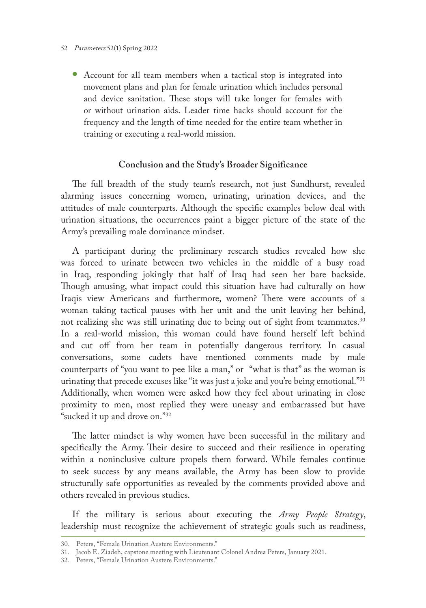#### 52 Parameters 52(1) Spring 2022

**•** Account for all team members when a tactical stop is integrated into movement plans and plan for female urination which includes personal and device sanitation. These stops will take longer for females with or without urination aids. Leader time hacks should account for the frequency and the length of time needed for the entire team whether in training or executing a real-world mission.

## **Conclusion and the Study's Broader Significance**

The full breadth of the study team's research, not just Sandhurst, revealed alarming issues concerning women, urinating, urination devices, and the attitudes of male counterparts. Although the specific examples below deal with urination situations, the occurrences paint a bigger picture of the state of the Army's prevailing male dominance mindset.

A participant during the preliminary research studies revealed how she was forced to urinate between two vehicles in the middle of a busy road in Iraq, responding jokingly that half of Iraq had seen her bare backside. Though amusing, what impact could this situation have had culturally on how Iraqis view Americans and furthermore, women? There were accounts of a woman taking tactical pauses with her unit and the unit leaving her behind, not realizing she was still urinating due to being out of sight from teammates.<sup>30</sup> In a real-world mission, this woman could have found herself left behind and cut off from her team in potentially dangerous territory. In casual conversations, some cadets have mentioned comments made by male counterparts of "you want to pee like a man," or "what is that" as the woman is urinating that precede excuses like "it was just a joke and you're being emotional."<sup>31</sup> Additionally, when women were asked how they feel about urinating in close proximity to men, most replied they were uneasy and embarrassed but have "sucked it up and drove on."32

The latter mindset is why women have been successful in the military and specifically the Army. Their desire to succeed and their resilience in operating within a noninclusive culture propels them forward. While females continue to seek success by any means available, the Army has been slow to provide structurally safe opportunities as revealed by the comments provided above and others revealed in previous studies.

If the military is serious about executing the *Army People Strategy*, leadership must recognize the achievement of strategic goals such as readiness,

<sup>30.</sup> Peters, "Female Urination Austere Environments."

<sup>31.</sup> Jacob E. Ziadeh, capstone meeting with Lieutenant Colonel Andrea Peters, January 2021.

<sup>32.</sup> Peters, "Female Urination Austere Environments."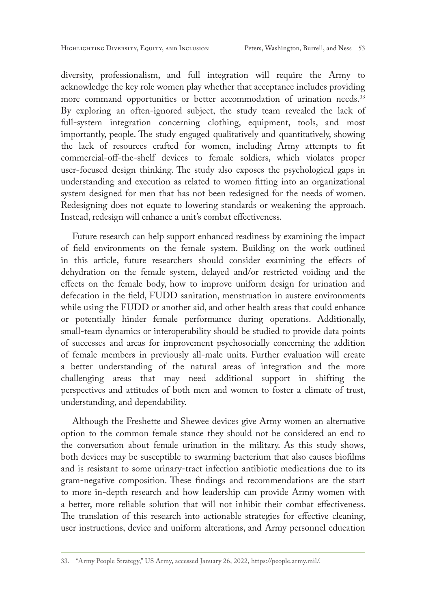diversity, professionalism, and full integration will require the Army to acknowledge the key role women play whether that acceptance includes providing more command opportunities or better accommodation of urination needs.<sup>33</sup> By exploring an often-ignored subject, the study team revealed the lack of full-system integration concerning clothing, equipment, tools, and most importantly, people. The study engaged qualitatively and quantitatively, showing the lack of resources crafted for women, including Army attempts to fit commercial-off-the-shelf devices to female soldiers, which violates proper user-focused design thinking. The study also exposes the psychological gaps in understanding and execution as related to women fitting into an organizational system designed for men that has not been redesigned for the needs of women. Redesigning does not equate to lowering standards or weakening the approach. Instead, redesign will enhance a unit's combat effectiveness.

Future research can help support enhanced readiness by examining the impact of field environments on the female system. Building on the work outlined in this article, future researchers should consider examining the effects of dehydration on the female system, delayed and/or restricted voiding and the effects on the female body, how to improve uniform design for urination and defecation in the field, FUDD sanitation, menstruation in austere environments while using the FUDD or another aid, and other health areas that could enhance or potentially hinder female performance during operations. Additionally, small-team dynamics or interoperability should be studied to provide data points of successes and areas for improvement psychosocially concerning the addition of female members in previously all-male units. Further evaluation will create a better understanding of the natural areas of integration and the more challenging areas that may need additional support in shifting the perspectives and attitudes of both men and women to foster a climate of trust, understanding, and dependability.

Although the Freshette and Shewee devices give Army women an alternative option to the common female stance they should not be considered an end to the conversation about female urination in the military. As this study shows, both devices may be susceptible to swarming bacterium that also causes biofilms and is resistant to some urinary-tract infection antibiotic medications due to its gram-negative composition. These findings and recommendations are the start to more in-depth research and how leadership can provide Army women with a better, more reliable solution that will not inhibit their combat effectiveness. The translation of this research into actionable strategies for effective cleaning, user instructions, device and uniform alterations, and Army personnel education

<sup>33.</sup> "Army People Strategy," US Army, accessed January 26, 2022,<https://people.army.mil/>.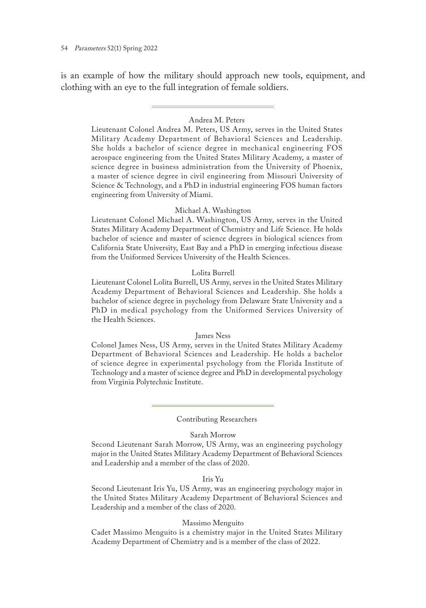is an example of how the military should approach new tools, equipment, and clothing with an eye to the full integration of female soldiers.

### Andrea M. Peters

Lieutenant Colonel Andrea M. Peters, US Army, serves in the United States Military Academy Department of Behavioral Sciences and Leadership. She holds a bachelor of science degree in mechanical engineering FOS aerospace engineering from the United States Military Academy, a master of science degree in business administration from the University of Phoenix, a master of science degree in civil engineering from Missouri University of Science & Technology, and a PhD in industrial engineering FOS human factors engineering from University of Miami.

#### Michael A. Washington

Lieutenant Colonel Michael A. Washington, US Army, serves in the United States Military Academy Department of Chemistry and Life Science. He holds bachelor of science and master of science degrees in biological sciences from California State University, East Bay and a PhD in emerging infectious disease from the Uniformed Services University of the Health Sciences.

#### Lolita Burrell

Lieutenant Colonel Lolita Burrell, US Army, serves in the United States Military Academy Department of Behavioral Sciences and Leadership. She holds a bachelor of science degree in psychology from Delaware State University and a PhD in medical psychology from the Uniformed Services University of the Health Sciences.

#### James Ness

Colonel James Ness, US Army, serves in the United States Military Academy Department of Behavioral Sciences and Leadership. He holds a bachelor of science degree in experimental psychology from the Florida Institute of Technology and a master of science degree and PhD in developmental psychology from Virginia Polytechnic Institute.

#### Contributing Researchers

#### Sarah Morrow

Second Lieutenant Sarah Morrow, US Army, was an engineering psychology major in the United States Military Academy Department of Behavioral Sciences and Leadership and a member of the class of 2020.

#### Iris Yu

Second Lieutenant Iris Yu, US Army, was an engineering psychology major in the United States Military Academy Department of Behavioral Sciences and Leadership and a member of the class of 2020.

#### Massimo Menguito

Cadet Massimo Menguito is a chemistry major in the United States Military Academy Department of Chemistry and is a member of the class of 2022.